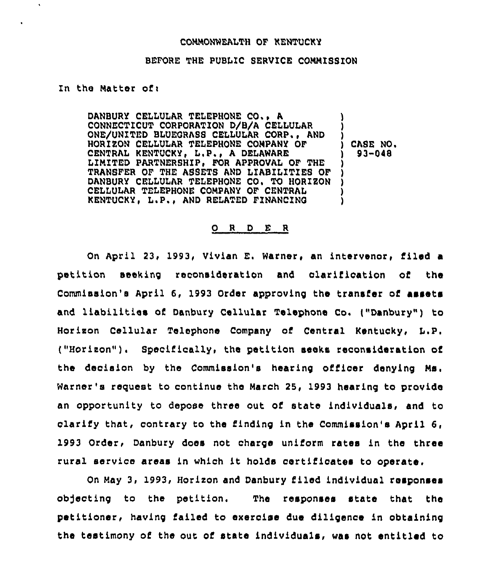## COMMONWEALTH OF KENTUCKY

## BEFORE THE PUBLIC SERVICE CONNISSION

## In the Natter ofi

 $\bullet$ 

DANBURY CELLULAR TELEPHONE CO, <sup>~</sup> A CONNECTICUT CORPORATION D/B/A CELLULAR ONE/UNITED BLUEORASS CELLULAR CORP., AND HORIEON CELLULAR TELEPHONE COMPANY OF CENTRAL KENTUCKY, L,P., <sup>A</sup> DELAWARE LIMITED PARTNERSHIP, FOR APPROVAL OF THE TRANSFER OF THE ASSETS AND LIABILITIES OF DANBURY CELLULAR TELEPHONE CO. TO HORIZON CELLULAR TELEPHONE COMPANY OF CENTRAL KENTUCKY, L.P., AND RELATED FINANCING ) ) ) CASE NO. ) 93-048 ) ) ) ) )

## 0 <sup>R</sup> <sup>D</sup> E <sup>R</sup>

On April 23, 1993, Vivian E. Warner, an intervenor, tiled a petition seeking reconsideration and clarification of the Commission's April 6, 1993 Order approving the transfer ot assets and liabilities of Danbury Cellular Telephone Co. ("Danbury") to Horizon Cellular Telephone Company of Central Kentucky, L.P. ("Horizon"). Specifically, the petition seeks reconsideration of the decision by the Commission's hearing officer denying Ms. Warner's request to continue the March 25, 1993 hearing to provide an opportunity to depose three out ot state individuals, and to clarify that, contrary to the finding in the Commission's April 6, 1993 Order, Danbury does not charge unitorm rates in the three rural service areas in which it holds certiticates to operate.

On May 3, 1993, Horizon and Danbury tiled individual responses ob)ecting to the petition. The responses state that the petitioner, having failed to exercise due diligenoe in obtaining the testimony of the out of state individuals, was not entitled to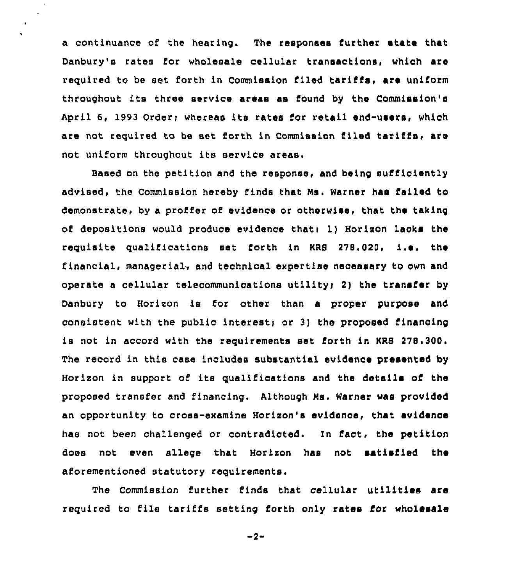a continuance of the hearing. The responses further state that Danbury's rates for wholesale cellular transactions, which are required to be set forth in Commission filed tariffs, are uniform throughout its three service areas as found by the Commission's April 6, 1993 Order; whereas its rates for retail end-users, which are not required to be set forth in Commission filed tariffs, are not uniform throughout its service areas.

 $\ddot{\phantom{a}}$ 

Based on the petition and the response, and being sufficiently advised, the Commission hereby finds that Ms. Warner has failed to demonstrate, by a proffer of evidence or otherwise, that the taking of depositions would produce evidence that: 1) Horizon lacks the requisite qualifications set forth in KRS  $278.020$ , i.e. the financial, managerial, and technical expertise necessary to own and operate a cellular telecommunications utilityi 2) the transfer by Danbury to Horizon is for other than a proper purpose and consistent with the public interest; or 3) the proposed financing is not in accord with the requirements set forth in KRS 278.300. The record in this case includes substantial evidence presented by Horizon in support of its qualifications and the details of the proposed transfer and financing. Although Ns. Warner was provided an opportunity to cross-examine Horizon's evidence, that evidence has not been challenged or contradicted. In fact, the petition does not even allege that Horizon has not satisfied the aforementioned statutory requirements.

The Commission further finds that cellular utilities are required to file tariffs setting forth only rates for wholesale

 $-2-$